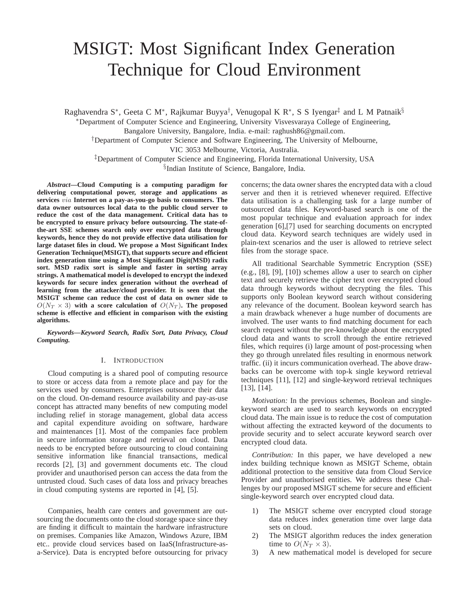# MSIGT: Most Significant Index Generation Technique for Cloud Environment

Raghavendra S\*, Geeta C M\*, Rajkumar Buyya<sup>†</sup>, Venugopal K R\*, S S Iyengar<sup>‡</sup> and L M Patnaik<sup>§</sup>

<sup>∗</sup>Department of Computer Science and Engineering, University Visvesvaraya College of Engineering,

Bangalore University, Bangalore, India. e-mail: raghush86@gmail.com.

†Department of Computer Science and Software Engineering, The University of Melbourne,

VIC 3053 Melbourne, Victoria, Australia.

‡Department of Computer Science and Engineering, Florida International University, USA § Indian Institute of Science, Bangalore, India.

*Abstract***—Cloud Computing is a computing paradigm for delivering computational power, storage and applications as services** via **Internet on a pay-as-you-go basis to consumers. The data owner outsources local data to the public cloud server to reduce the cost of the data management. Critical data has to be encrypted to ensure privacy before outsourcing. The state-ofthe-art SSE schemes search only over encrypted data through keywords, hence they do not provide effective data utilisation for large dataset files in cloud. We propose a Most Significant Index Generation Technique(MSIGT), that supports secure and efficient index generation time using a Most Significant Digit(MSD) radix sort. MSD radix sort is simple and faster in sorting array strings. A mathematical model is developed to encrypt the indexed keywords for secure index generation without the overhead of learning from the attacker/cloud provider. It is seen that the MSIGT scheme can reduce the cost of data on owner side to**  $O(N_T \times 3)$  with a score calculation of  $O(N_T)$ . The proposed **scheme is effective and efficient in comparison with the existing algorithms.**

*Keywords***—***Keyword Search, Radix Sort, Data Privacy, Cloud Computing.*

# I. INTRODUCTION

Cloud computing is a shared pool of computing resource to store or access data from a remote place and pay for the services used by consumers. Enterprises outsource their data on the cloud. On-demand resource availability and pay-as-use concept has attracted many benefits of new computing model including relief in storage management, global data access and capital expenditure avoiding on software, hardware and maintenances [1]. Most of the companies face problem in secure information storage and retrieval on cloud. Data needs to be encrypted before outsourcing to cloud containing sensitive information like financial transactions, medical records [2], [3] and government documents etc. The cloud provider and unauthorised person can access the data from the untrusted cloud. Such cases of data loss and privacy breaches in cloud computing systems are reported in [4], [5].

Companies, health care centers and government are outsourcing the documents onto the cloud storage space since they are finding it difficult to maintain the hardware infrastructure on premises. Companies like Amazon, Windows Azure, IBM etc.. provide cloud services based on IaaS(Infrastructure-asa-Service). Data is encrypted before outsourcing for privacy concerns; the data owner shares the encrypted data with a cloud server and then it is retrieved whenever required. Effective data utilisation is a challenging task for a large number of outsourced data files. Keyword-based search is one of the most popular technique and evaluation approach for index generation [6],[7] used for searching documents on encrypted cloud data. Keyword search techniques are widely used in plain-text scenarios and the user is allowed to retrieve select files from the storage space.

All traditional Searchable Symmetric Encryption (SSE) (e.g., [8], [9], [10]) schemes allow a user to search on cipher text and securely retrieve the cipher text over encrypted cloud data through keywords without decrypting the files. This supports only Boolean keyword search without considering any relevance of the document. Boolean keyword search has a main drawback whenever a huge number of documents are involved. The user wants to find matching document for each search request without the pre-knowledge about the encrypted cloud data and wants to scroll through the entire retrieved files, which requires (i) large amount of post-processing when they go through unrelated files resulting in enormous network traffic. (ii) it incurs communication overhead. The above drawbacks can be overcome with top-k single keyword retrieval techniques [11], [12] and single-keyword retrieval techniques [13], [14].

*Motivation:* In the previous schemes, Boolean and singlekeyword search are used to search keywords on encrypted cloud data. The main issue is to reduce the cost of computation without affecting the extracted keyword of the documents to provide security and to select accurate keyword search over encrypted cloud data.

*Contribution:* In this paper, we have developed a new index building technique known as MSIGT Scheme, obtain additional protection to the sensitive data from Cloud Service Provider and unauthorised entities. We address these Challenges by our proposed MSIGT scheme for secure and efficient single-keyword search over encrypted cloud data.

- 1) The MSIGT scheme over encrypted cloud storage data reduces index generation time over large data sets on cloud.
- 2) The MSIGT algorithm reduces the index generation time to  $O(N_T \times 3)$ .
- 3) A new mathematical model is developed for secure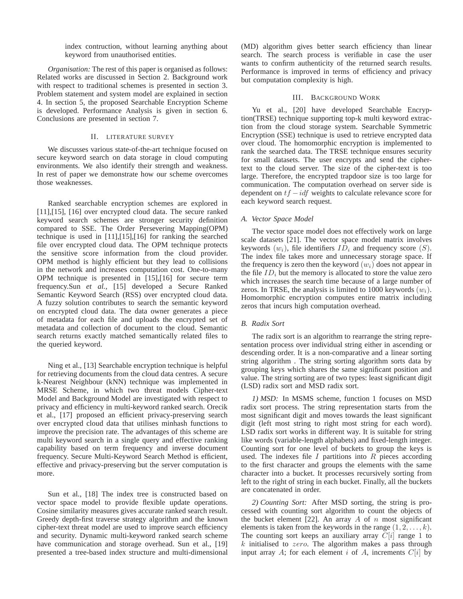index contruction, without learning anything about keyword from unauthorised entities.

*Organisation:* The rest of this paper is organised as follows: Related works are discussed in Section 2. Background work with respect to traditional schemes is presented in section 3. Problem statement and system model are explained in section 4. In section 5, the proposed Searchable Encryption Scheme is developed. Performance Analysis is given in section 6. Conclusions are presented in section 7.

## II. LITERATURE SURVEY

We discusses various state-of-the-art technique focused on secure keyword search on data storage in cloud computing environments. We also identify their strength and weakness. In rest of paper we demonstrate how our scheme overcomes those weaknesses.

Ranked searchable encryption schemes are explored in [11],[15], [16] over encrypted cloud data. The secure ranked keyword search schemes are stronger security definition compared to SSE. The Order Persevering Mapping(OPM) technique is used in [11],[15],[16] for ranking the searched file over encrypted cloud data. The OPM technique protects the sensitive score information from the cloud provider. OPM method is highly efficient but they lead to collisions in the network and increases computation cost. One-to-many OPM technique is presented in [15],[16] for secure term frequency.Sun *et al.,* [15] developed a Secure Ranked Semantic Keyword Search (RSS) over encrypted cloud data. A fuzzy solution contributes to search the semantic keyword on encrypted cloud data. The data owner generates a piece of metadata for each file and uploads the encrypted set of metadata and collection of document to the cloud. Semantic search returns exactly matched semantically related files to the queried keyword.

Ning et al., [13] Searchable encryption technique is helpful for retrieving documents from the cloud data centres. A secure k-Nearest Neighbour (kNN) technique was implemented in MRSE Scheme, in which two threat models Cipher-text Model and Background Model are investigated with respect to privacy and efficiency in multi-keyword ranked search. Orecik et al., [17] proposed an efficient privacy-preserving search over encrypted cloud data that utilises minhash functions to improve the precision rate. The advantages of this scheme are multi keyword search in a single query and effective ranking capability based on term frequency and inverse document frequency. Secure Multi-Keyword Search Method is efficient, effective and privacy-preserving but the server computation is more.

Sun et al., [18] The index tree is constructed based on vector space model to provide flexible update operations. Cosine similarity measures gives accurate ranked search result. Greedy depth-first traverse strategy algorithm and the known cipher-text threat model are used to improve search efficiency and security. Dynamic multi-keyword ranked search scheme have communication and storage overhead. Sun et al., [19] presented a tree-based index structure and multi-dimensional (MD) algorithm gives better search efficiency than linear search. The search process is verifiable in case the user wants to confirm authenticity of the returned search results. Performance is improved in terms of efficiency and privacy but computation complexity is high.

### III. BACKGROUND WORK

Yu et al., [20] have developed Searchable Encryption(TRSE) technique supporting top-k multi keyword extraction from the cloud storage system. Searchable Symmetric Encryption (SSE) technique is used to retrieve encrypted data over cloud. The homomorphic encryption is implemented to rank the searched data. The TRSE technique ensures security for small datasets. The user encrypts and send the ciphertext to the cloud server. The size of the cipher-text is too large. Therefore, the encrypted trapdoor size is too large for communication. The computation overhead on server side is dependent on  $tf - idf$  weights to calculate relevance score for each keyword search request.

#### *A. Vector Space Model*

The vector space model does not effectively work on large scale datasets [21]. The vector space model matrix involves keywords  $(w_i)$ , file identifiers  $ID_i$  and frequency score  $(S)$ . The index file takes more and unnecessary storage space. If the frequency is zero then the keyword  $(w_i)$  does not appear in the file  $ID_i$  but the memory is allocated to store the value zero which increases the search time because of a large number of zeros. In TRSE, the analysis is limited to 1000 keywords  $(w_i)$ . Homomorphic encryption computes entire matrix including zeros that incurs high computation overhead.

## *B. Radix Sort*

The radix sort is an algorithm to rearrange the string representation process over individual string either in ascending or descending order. It is a non-comparative and a linear sorting string algorithm . The string sorting algorithm sorts data by grouping keys which shares the same significant position and value. The string sorting are of two types: least significant digit (LSD) radix sort and MSD radix sort.

*1) MSD:* In MSMS scheme, function 1 focuses on MSD radix sort process. The string representation starts from the most significant digit and moves towards the least significant digit (left most string to right most string for each word). LSD radix sort works in different way. It is suitable for string like words (variable-length alphabets) and fixed-length integer. Counting sort for one level of buckets to group the keys is used. The indexes file  $I$  partitions into  $R$  pieces according to the first character and groups the elements with the same character into a bucket. It processes recursively sorting from left to the right of string in each bucket. Finally, all the buckets are concatenated in order.

*2) Counting Sort:* After MSD sorting, the string is processed with counting sort algorithm to count the objects of the bucket element [22]. An array  $A$  of  $n$  most significant elements is taken from the keywords in the range  $(1, 2, \ldots, k)$ . The counting sort keeps an auxiliary array  $C[i]$  range 1 to  $k$  initialised to zero. The algorithm makes a pass through input array A; for each element i of A, increments  $C[i]$  by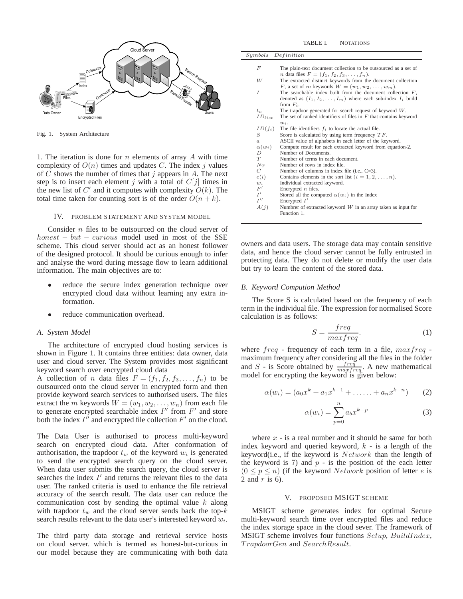

Fig. 1. System Architecture

1. The iteration is done for  $n$  elements of array  $A$  with time complexity of  $O(n)$  times and updates C. The index j values of C shows the number of times that j appears in A. The next step is to insert each element j with a total of  $C[j]$  times in the new list of  $C'$  and it computes with complexity  $O(k)$ . The total time taken for counting sort is of the order  $O(n + k)$ .

#### IV. PROBLEM STATEMENT AND SYSTEM MODEL

Consider *n* files to be outsourced on the cloud server of  $honest - but - curious \text{ model used in most of the SSE}$ scheme. This cloud server should act as an honest follower of the designed protocol. It should be curious enough to infer and analyse the word during message flow to learn additional information. The main objectives are to:

- reduce the secure index generation technique over encrypted cloud data without learning any extra information.
- reduce communication overhead.

## *A. System Model*

The architecture of encrypted cloud hosting services is shown in Figure 1. It contains three entities: data owner, data user and cloud server. The System provides most significant keyword search over encrypted cloud data

A collection of *n* data files  $F = (f_1, f_2, f_3, \dots, f_n)$  to be outsourced onto the cloud server in encrypted form and then provide keyword search services to authorised users. The files extract the m keywords  $W = (w_1, w_2, \dots, w_n)$  from each file to generate encrypted searchable index  $I''$  from  $F'$  and store both the index  $I^{\prime\prime}$  and encrypted file collection  $F'$  on the cloud.

The Data User is authorised to process multi-keyword search on encrypted cloud data. After conformation of authorisation, the trapdoor  $t_w$  of the keyword  $w_i$  is generated to send the encrypted search query on the cloud server. When data user submits the search query, the cloud server is searches the index  $I'$  and returns the relevant files to the data user. The ranked criteria is used to enhance the file retrieval accuracy of the search result. The data user can reduce the communication cost by sending the optimal value  $k$  along with trapdoor  $t_w$  and the cloud server sends back the top- $k$ search results relevant to the data user's interested keyword  $w_i$ .

The third party data storage and retrieval service hosts on cloud server. which is termed as honest-but-curious in our model because they are communicating with both data

| $_{\mu mbols}$     | Definition                                                            |
|--------------------|-----------------------------------------------------------------------|
|                    |                                                                       |
| F                  | The plain-text document collection to be outsourced as a set of       |
|                    | <i>n</i> data files $F = (f_1, f_2, f_3, , f_n)$ .                    |
| W                  | The extracted distinct keywords from the document collection          |
|                    | F, a set of m keywords $W = (w_1, w_2, \ldots, w_m)$ .                |
| I                  | The searchable index built from the document collection $F$ ,         |
|                    | denoted as $(I_1, I_2, \ldots, I_m)$ where each sub-index $I_i$ build |
|                    | from $F_i$ .                                                          |
| $t_{\nu}$          | The trapdoor generated for search request of keyword $W$ .            |
| $ID_{list}$        | The set of ranked identifiers of files in $F$ that contains keyword   |
|                    | $w_i$ .                                                               |
| $ID(f_i)$          | The file identifiers $f_i$ to locate the actual file.                 |
| S                  | Score is calculated by using term frequency $TF$ .                    |
| $\overline{a}$     | ASCII value of alphabets in each letter of the keyword.               |
| $\alpha(w_i)$      | Compute result for each extracted keyword from equation-2.            |
| D                  | Number of Documents.                                                  |
| T                  | Number of terms in each document.                                     |
| $N_T$              | Number of rows in index file.                                         |
| C                  | Number of columns in index file (i.e., $C=3$ ).                       |
| c(i)               | Contains elements in the sort list $(i = 1, 2, \ldots, n)$ .          |
| $w_i$              | Individual extracted keyword.                                         |
| F'                 | Encrypted $n$ files.                                                  |
| I'                 | Stored all the computed $\alpha(w_i)$ in the Index                    |
| $I^{\prime\prime}$ | Encrypted $I'$                                                        |
| A(j)               | Numbrer of extracted keyword $W$ in an array taken as input for       |
|                    | Function 1.                                                           |

owners and data users. The storage data may contain sensitive data, and hence the cloud server cannot be fully entrusted in protecting data. They do not delete or modify the user data but try to learn the content of the stored data.

#### *B. Keyword Compution Method*

The Score S is calculated based on the frequency of each term in the individual file. The expression for normalised Score calculation is as follows:

$$
S = \frac{freq}{maxfreq}.
$$
 (1)

where  $freq$  - frequency of each term in a file,  $maxfreq$  maximum frequency after considering all the files in the folder and S - is Score obtained by  $\frac{freq}{maxfreq}$ . A new mathematical model for encrypting the keyword is given below:

$$
\alpha(w_i) = (a_0 x^k + a_1 x^{k-1} + \dots + a_n x^{k-n})
$$
 (2)

$$
\alpha(w_i) = \sum_{p=0}^{n} a_b x^{k-p} \tag{3}
$$

where  $x -$  is a real number and it should be same for both index keyword and queried keyword,  $k -$  is a length of the keyword(i.e., if the keyword is  $Network$  than the length of the keyword is 7) and  $p -$  is the position of the each letter  $(0 \le p \le n)$  (if the keyword *Network* position of letter *e* is 2 and  $r$  is 6).

## V. PROPOSED MSIGT SCHEME

MSIGT scheme generates index for optimal Secure multi-keyword search time over encrypted files and reduce the index storage space in the cloud sever. The framework of MSIGT scheme involves four functions Setup, BuildIndex, T rapdoorGen and SearchResult.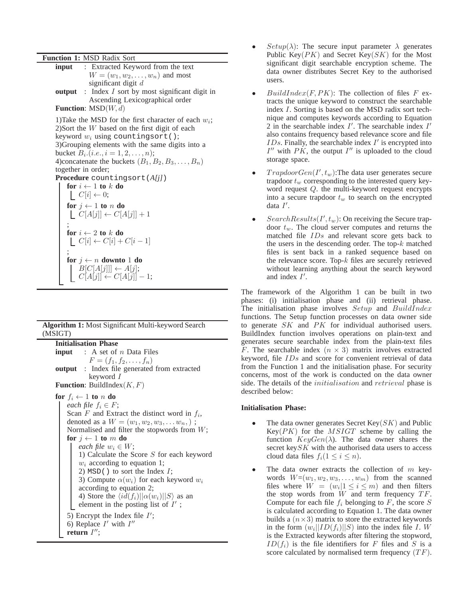**Function 1:** MSD Radix Sort

| <b>Algorithm 1:</b> Most Significant Multi-keyword Search |  |
|-----------------------------------------------------------|--|
| (MSIGT)                                                   |  |

**Initialisation Phase input** : A set of *n* Data Files  $F = (f_1, f_2, \ldots, f_n)$ **output** : Index file generated from extracted keyword I **Function**: BuildIndex $(K, F)$ **for**  $f_i \leftarrow 1$  **to** n **do** *each file*  $f_i \in F$ ; Scan  $F$  and Extract the distinct word in  $f_i$ , denoted as a  $W = (w_1, w_2, w_3, \dots w_n)$ ; Normalised and filter the stopwords from W; **for**  $j \leftarrow 1$  **to** m **do** *each file*  $w_i \in W$ ; 1) Calculate the Score S for each keyword  $w_i$  according to equation 1; 2)  $MSD()$  to sort the Index  $I$ ; 3) Compute  $\alpha(w_i)$  for each keyword  $w_i$ according to equation 2; 4) Store the  $\langle id(f_i) || \alpha(w_i) || S \rangle$  as an element in the posting list of  $I'$ ; 5) Encrypt the Index file  $I'$ ; 6) Replace  $I'$  with  $I''$ **return** I ′′;

- $Setup(\lambda)$ : The secure input parameter  $\lambda$  generates Public Key( $PK$ ) and Secret Key( $SK$ ) for the Most significant digit searchable encryption scheme. The data owner distributes Secret Key to the authorised users.
- $BuildIndex(F, PK)$ : The collection of files F extracts the unique keyword to construct the searchable index I. Sorting is based on the MSD radix sort technique and computes keywords according to Equation 2 in the searchable index  $I'$ . The searchable index  $I'$ also contains frequency based relevance score and file  $IDs$ . Finally, the searchable index  $I'$  is encrypted into  $I''$  with  $\overrightarrow{PK}$ , the output  $I''$  is uploaded to the cloud storage space.
- $TrapdoorGen(I', t_w)$ : The data user generates secure trapdoor  $t_w$  corresponding to the interested query keyword request Q. the multi-keyword request encrypts into a secure trapdoor  $t_w$  to search on the encrypted data  $I'$ .
- Search Results  $(I', t_w)$ : On receiving the Secure trapdoor  $t_w$ . The cloud server computes and returns the matched file IDs and relevant score gets back to the users in the descending order. The top- $k$  matched files is sent back in a ranked sequence based on the relevance score. Top- $k$  files are securely retrieved without learning anything about the search keyword and index  $I'$ .

The framework of the Algorithm 1 can be built in two phases: (i) initialisation phase and (ii) retrieval phase. The initialisation phase involves Setup and BuildIndex functions. The Setup function processes on data owner side to generate SK and PK for individual authorised users. BuildIndex function involves operations on plain-text and generates secure searchable index from the plain-text files F. The searchable index  $(n \times 3)$  matrix involves extracted keyword, file IDs and score for convenient retrieval of data from the Function 1 and the initialisation phase. For security concerns, most of the work is conducted on the data owner side. The details of the initialisation and retrieval phase is described below:

## **Initialisation Phase:**

- The data owner generates Secret  $Key(SK)$  and Public  $Key(PK)$  for the *MSIGT* scheme by calling the function  $KeyGen(\lambda)$ . The data owner shares the secret key $SK$  with the authorised data users to access cloud data files  $f_i(1 \leq i \leq n)$ .
- The data owner extracts the collection of  $m$  keywords  $W=(w_1, w_2, w_3, \ldots, w_m)$  from the scanned files where  $W = (w_i | 1 \le i \le m)$  and then filters the stop words from  $W$  and term frequency  $TF$ . Compute for each file  $f_i$  belonging to F, the score S is calculated according to Equation 1. The data owner builds a  $(n \times 3)$  matrix to store the extracted keywords in the form  $(w_i||ID(f_i)||S)$  into the index file I. W is the Extracted keywords after filtering the stopword,  $ID(f_i)$  is the file identifiers for F files and S is a score calculated by normalised term frequency  $(TF)$ .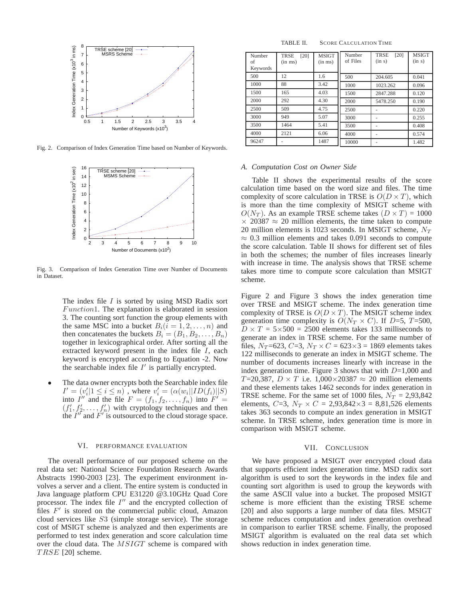

Fig. 2. Comparison of Index Generation Time based on Number of Keywords.



Fig. 3. Comparison of Index Generation Time over Number of Documents in Dataset.

The index file  $I$  is sorted by using MSD Radix sort  $Function1$ . The explanation is elaborated in session 3. The counting sort function the group elements with the same MSC into a bucket  $B_i(i = 1, 2, \ldots, n)$  and then concatenates the buckets  $B_i = (B_1, B_2, \ldots, B_n)$ together in lexicographical order. After sorting all the extracted keyword present in the index file I, each keyword is encrypted according to Equation -2. Now the searchable index file  $I'$  is partially encrypted.

The data owner encrypts both the Searchable index file  $I' = (v_i'|1 \leq i \leq n)$ , where  $v_i' = (\alpha(w_i||ID(f_i)||S))$ into  $I''$  and the file  $F = (f_1, f_2, \ldots, f_n)$  into  $F' =$  $(f'_1, f'_2, \ldots, f'_n)$  with cryptology techniques and then the  $I''$  and  $F'$  is outsourced to the cloud storage space.

## VI. PERFORMANCE EVALUATION

The overall performance of our proposed scheme on the real data set: National Science Foundation Research Awards Abstracts 1990-2003 [23]. The experiment environment involves a server and a client. The entire system is conducted in Java language platform CPU E31220 @3.10GHz Quad Core processor. The index file  $I''$  and the encrypted collection of files  $F'$  is stored on the commercial public cloud, Amazon cloud services like S3 (simple storage service). The storage cost of MSIGT scheme is analyzed and then experiments are performed to test index generation and score calculation time over the cloud data. The MSIGT scheme is compared with  $T RSE$  [20] scheme.

TABLE II. SCORE CALCULATION TIME

| Number<br>of<br>Keywords | [20]<br><b>TRSE</b><br>$(in$ ms $)$ | <b>MSIGT</b><br>$(in \, ms)$ | Number<br>of Files | <b>TRSE</b><br>[20]<br>(in s) | <b>MSIGT</b><br>(in s) |
|--------------------------|-------------------------------------|------------------------------|--------------------|-------------------------------|------------------------|
| 500                      | 12                                  | 1.6                          | 500                | 204.605                       | 0.041                  |
| 1000                     | 88                                  | 3.42                         | 1000               | 1023.262                      | 0.096                  |
| 1500                     | 165                                 | 4.03                         | 1500               | 2847.288                      | 0.120                  |
| 2000                     | 292                                 | 4.30                         | 2000               | 5478.250                      | 0.190                  |
| 2500                     | 509                                 | 4.75                         | 2500               |                               | 0.220                  |
| 3000                     | 949                                 | 5.07                         | 3000               |                               | 0.255                  |
| 3500                     | 1464                                | 5.41                         | 3500               |                               | 0.408                  |
| 4000                     | 2121                                | 6.06                         | 4000               |                               | 0.574                  |
| 96247                    |                                     | 1487                         | 10000              |                               | 1.482                  |

#### *A. Computation Cost on Owner Side*

Table II shows the experimental results of the score calculation time based on the word size and files. The time complexity of score calculation in TRSE is  $O(D \times T)$ , which is more than the time complexity of MSIGT scheme with  $O(N_T)$ . As an example TRSE scheme takes  $(D \times T) = 1000$  $\times$  20387  $\approx$  20 million elements, the time taken to compute 20 million elements is 1023 seconds. In MSIGT scheme,  $N_T$  $\approx$  0.3 million elements and takes 0.091 seconds to compute the score calculation. Table II shows for different set of files in both the schemes; the number of files increases linearly with increase in time. The analysis shows that TRSE scheme takes more time to compute score calculation than MSIGT scheme.

Figure 2 and Figure 3 shows the index generation time over TRSE and MSIGT scheme. The index generation time complexity of TRSE is  $O(D \times T)$ . The MSIGT scheme index generation time complexity is  $O(N_T \times C)$ . If D=5, T=500,  $D \times T = 5 \times 500 = 2500$  elements takes 133 milliseconds to generate an index in TRSE scheme. For the same number of files,  $N_T$ =623,  $C=3$ ,  $N_T \times C = 623 \times 3 = 1869$  elements takes 122 milliseconds to generate an index in MSIGT scheme. The number of documents increases linearly with increase in the index generation time. Figure 3 shows that with  $D=1,000$  and T=20,387,  $D \times T$  i.e. 1,000×20387  $\approx$  20 million elements and these elements takes 1462 seconds for index generation in TRSE scheme. For the same set of 1000 files,  $N_T = 2.93,842$ elements,  $C=3$ ,  $N_T \times C = 2,93,842 \times 3 = 8,81,526$  elements takes 363 seconds to compute an index generation in MSIGT scheme. In TRSE scheme, index generation time is more in comparison with MSIGT scheme.

## VII. CONCLUSION

We have proposed a MSIGT over encrypted cloud data that supports efficient index generation time. MSD radix sort algorithm is used to sort the keywords in the index file and counting sort algorithm is used to group the keywords with the same ASCII value into a bucket. The proposed MSIGT scheme is more efficient than the existing TRSE scheme [20] and also supports a large number of data files. MSIGT scheme reduces computation and index generation overhead in comparison to earlier TRSE scheme. Finally, the proposed MSIGT algorithm is evaluated on the real data set which shows reduction in index generation time.